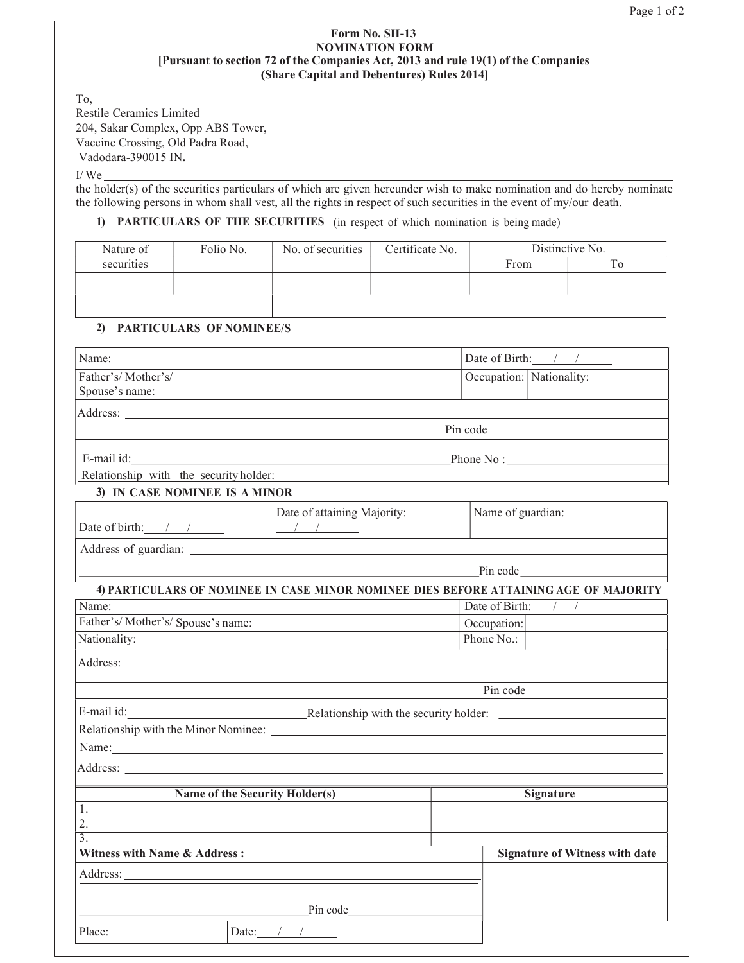## Form No. SH-13 NOMINATION FORM [Pursuant to section 72 of the Companies Act, 2013 and rule 19(1) of the Companies (Share Capital and Debentures) Rules 2014]

To, Restile Ceramics Limited 204, Sakar Complex, Opp ABS Tower, Vaccine Crossing, Old Padra Road, Vadodara-390015 IN.

I/ We

the holder(s) of the securities particulars of which are given hereunder wish to make nomination and do hereby nominate the following persons in whom shall vest, all the rights in respect of such securities in the event of my/our death.

## 1) PARTICULARS OF THE SECURITIES (in respect of which nomination is being made)

| Nature of  | Folio No. | No. of securities | Certificate No. | Distinctive No. |    |
|------------|-----------|-------------------|-----------------|-----------------|----|
| securities |           |                   |                 | From            | 10 |
|            |           |                   |                 |                 |    |
|            |           |                   |                 |                 |    |
|            |           |                   |                 |                 |    |

## 2) PARTICULARS OF NOMINEE/S

| Name:                                                                                                                                                                                                                               |             | Date of Birth: $\frac{1}{\sqrt{2}}$                                                                                                                                                                                            |  |
|-------------------------------------------------------------------------------------------------------------------------------------------------------------------------------------------------------------------------------------|-------------|--------------------------------------------------------------------------------------------------------------------------------------------------------------------------------------------------------------------------------|--|
| Father's/Mother's/<br>Spouse's name:                                                                                                                                                                                                |             | Occupation: Nationality:                                                                                                                                                                                                       |  |
| Address: Andreas Address: Address: Address: Address: Address: Address: Address: Address: Address: Address: Address: Address: Address: Address: Address: Address: Address: Address: Address: Address: Address: Address: Address      |             |                                                                                                                                                                                                                                |  |
|                                                                                                                                                                                                                                     | Pin code    |                                                                                                                                                                                                                                |  |
| E-mail id:                                                                                                                                                                                                                          |             | Phone No:                                                                                                                                                                                                                      |  |
| Relationship with the security holder:<br>3) IN CASE NOMINEE IS A MINOR                                                                                                                                                             |             |                                                                                                                                                                                                                                |  |
| Date of attaining Majority:<br>Date of birth: $\frac{1}{\sqrt{2}}$                                                                                                                                                                  |             | Name of guardian:                                                                                                                                                                                                              |  |
|                                                                                                                                                                                                                                     |             |                                                                                                                                                                                                                                |  |
|                                                                                                                                                                                                                                     |             | Pin code and the same state of the state of the state of the state of the state of the state of the state of the state of the state of the state of the state of the state of the state of the state of the state of the state |  |
| 4) PARTICULARS OF NOMINEE IN CASE MINOR NOMINEE DIES BEFORE ATTAINING AGE OF MAJORITY                                                                                                                                               |             |                                                                                                                                                                                                                                |  |
| Name:                                                                                                                                                                                                                               |             | Date of Birth: $\frac{1}{\sqrt{2}}$                                                                                                                                                                                            |  |
| Father's/Mother's/Spouse's name:                                                                                                                                                                                                    | Occupation: |                                                                                                                                                                                                                                |  |
| Nationality:                                                                                                                                                                                                                        | Phone No.:  |                                                                                                                                                                                                                                |  |
| Address: National Address: National Address: National Address: National Address: National Address: National Address: National Address: National Address: National Address: National Address: National Address: National Addres      |             |                                                                                                                                                                                                                                |  |
|                                                                                                                                                                                                                                     | Pin code    |                                                                                                                                                                                                                                |  |
| E-mail id:<br>Relationship with the security holder:                                                                                                                                                                                |             |                                                                                                                                                                                                                                |  |
|                                                                                                                                                                                                                                     |             |                                                                                                                                                                                                                                |  |
| Name: Name and the state of the state of the state of the state of the state of the state of the state of the state of the state of the state of the state of the state of the state of the state of the state of the state of      |             |                                                                                                                                                                                                                                |  |
| Address: <u>Address:</u> Address: Address: Address: Address: Address: Address: Address: Address: Address: Address: Address: Address: Address: Address: Address: Address: Address: Address: Address: Address: Address: Address: Addr |             |                                                                                                                                                                                                                                |  |
| Name of the Security Holder(s)                                                                                                                                                                                                      |             | <b>Signature</b>                                                                                                                                                                                                               |  |
| 1.                                                                                                                                                                                                                                  |             |                                                                                                                                                                                                                                |  |
| $\overline{2}$ .                                                                                                                                                                                                                    |             |                                                                                                                                                                                                                                |  |
| $\overline{3}$ .<br><b>Witness with Name &amp; Address:</b>                                                                                                                                                                         |             | <b>Signature of Witness with date</b>                                                                                                                                                                                          |  |
|                                                                                                                                                                                                                                     |             |                                                                                                                                                                                                                                |  |
|                                                                                                                                                                                                                                     |             |                                                                                                                                                                                                                                |  |
|                                                                                                                                                                                                                                     |             |                                                                                                                                                                                                                                |  |
| $P$ in code $\_\_\_\_\_\_\_\_\_\_\_\_\_$                                                                                                                                                                                            |             |                                                                                                                                                                                                                                |  |